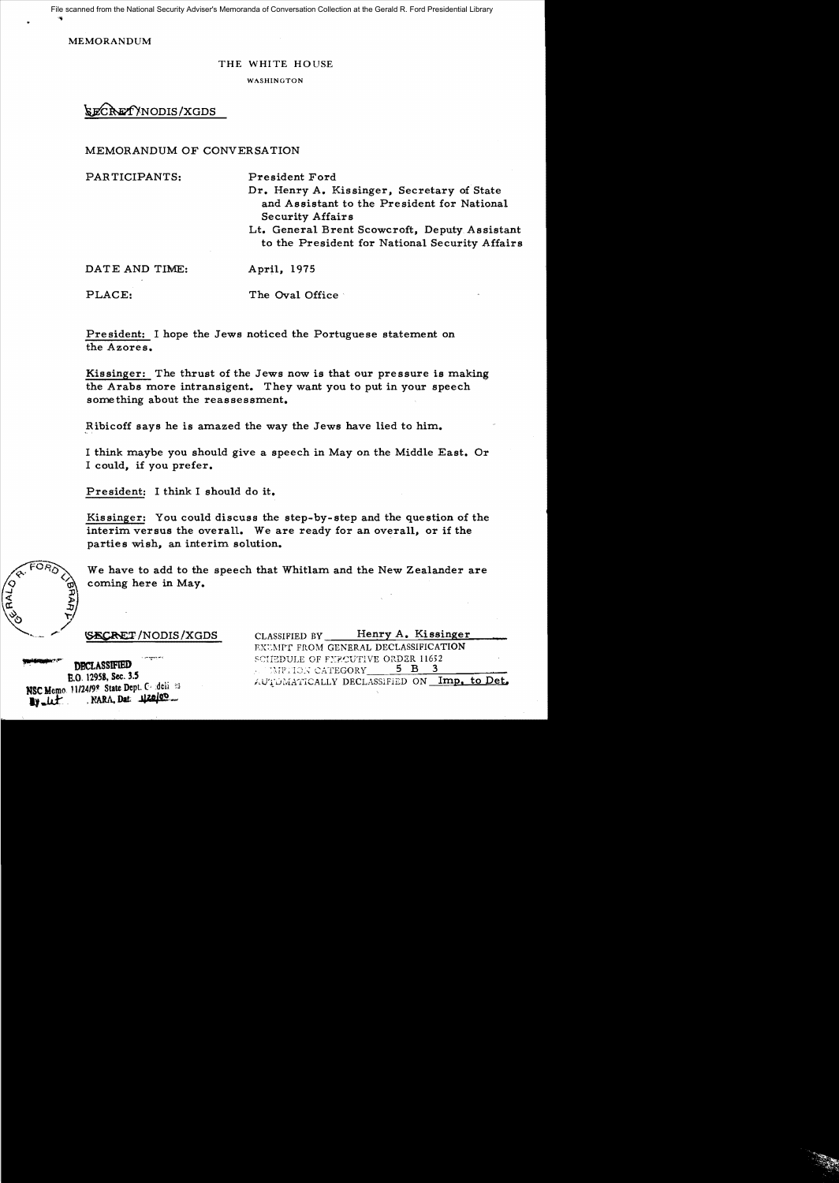File scanned from the National Security Adviser's Memoranda of Conversation Collection at the Gerald R. Ford Presidential Library

**MEMORANDUM** 

## THE WHITE HOUSE

WASHINGTON

SECRETYNODIS/XGDS

## MEMORANDUM OF CONVERSATION

PARTICIPANTS: President Ford Dr. Henry A. Kissinger, Secretary of State and Assistant to the President for National **Security Affairs** Lt. General Brent Scowcroft, Deputy Assistant to the President for National Security Affairs DATE AND TIME: April, 1975

PLACE: The Oval Office

President: I hope the Jews noticed the Portuguese statement on the Azores.

Kissinger: The thrust of the Jews now is that our pressure is making the Arabs more intransigent. They want you to put in your speech something about the reassessment.

Ribicoff says he is amazed the way the Jews have lied to him.

I think maybe you should give a speech in May on the Middle East. Or I could, if you prefer.

President: I think I should do it.

Kissinger: You could discuss the step-by-step and the question of the interim versus the overall. We are ready for an overall, or if the parties wish, an interim solution.

We have to add to the speech that Whitlam and the New Zealander are coming here in May.

**SECRET/NODIS/XGDS** 

**DRCLASSIFIED** E.O. 12958, Sec. 3.5 NSC Memo. 11/24/99 State Dept. Condelia 93 NARA, Dat. 120100  $y - \mu t$ 

Henry A. Kissinger CLASSIFIED BY EXEMPT FROM GENERAL DECLASSIFICATION SCIEDULE OF FYPCUTIVE ORDER 11652  $5$  B  $3$ MPHON CATEGORY AUTOMATICALLY DECLASSIFIED ON Imp. to Det.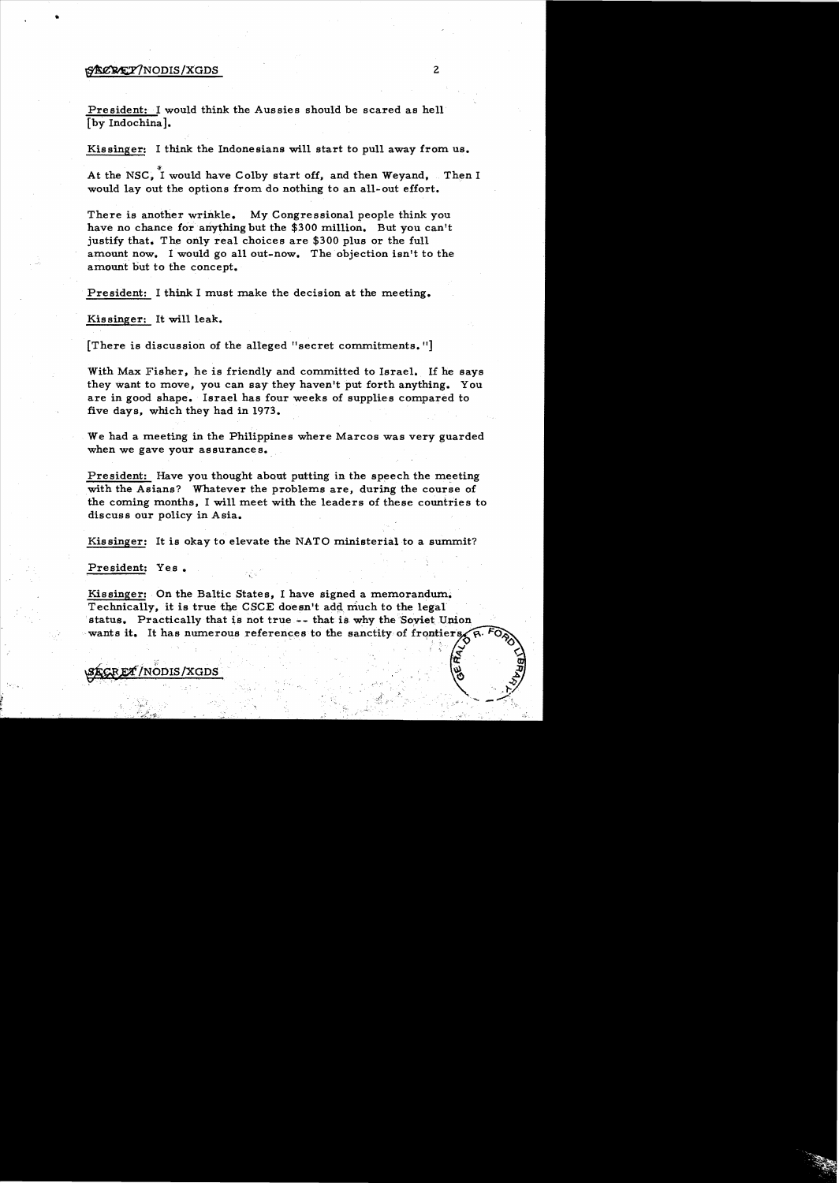## $\frac{1}{2}$   $\frac{1}{2}$   $\frac{1}{2}$   $\frac{1}{2}$   $\frac{1}{2}$   $\frac{1}{2}$   $\frac{1}{2}$   $\frac{1}{2}$   $\frac{1}{2}$   $\frac{1}{2}$   $\frac{1}{2}$   $\frac{1}{2}$   $\frac{1}{2}$   $\frac{1}{2}$   $\frac{1}{2}$   $\frac{1}{2}$   $\frac{1}{2}$   $\frac{1}{2}$   $\frac{1}{2}$   $\frac{1}{2}$   $\frac{1}{2}$   $\frac{1}{2}$

President: I would think the Aussies should be scared as hell [by Indochina].

Kissinger: I think the Indonesians will start to pull away from us.

At the NSC, I would have Colby start off, and then Weyand, Then I would lay out the options from do nothing to an all-out effort.

There is another wrinkle. My Congressional people think you have no chance for anything but the \$300 million. But you can't justify that. The only real choices are \$300 plus or the full amount now. I would go all out-now. The objection isn't to the amount but to the concept.

President: I think I must make the decision at the meeting.

Kis singer: It will leak.

[There is discussion of the alleged "secret commitments."]

With Max Fisher, he is friendly and committed to Israel. If he says they want to move, you can say they haven't put forth anything. You are in good shape. Israel has four weeks of supplies compared to five days, which they had in 1973.

We had a meeting in the Philippines where Marcos was very guarded when we gave your assurances.

President: Have you thought about putting in the speech the meeting with the Asians? Whatever the problems are, during the course of the coming months, I will meet with the leaders of these countries to dis cuss our policy in Asia.

Kissinger: It is okay to elevate the NATO ministerial to a summit?

President: Yes.

Kissinger: On the Baltic States, I have signed a memorandum. Technically, it is true the CSCE doesn't add much to the legal status. Practically that is not true -- that is why the 'Soviet Union wants it. It has numerous references to the sanctity of frontiers,  $R^{-1}$ 

**27 /NODIS /XGDS** 

 $\bullet$ 

 $\widetilde{\mathbf{x}}$   $\in$   $\mathbf{z}$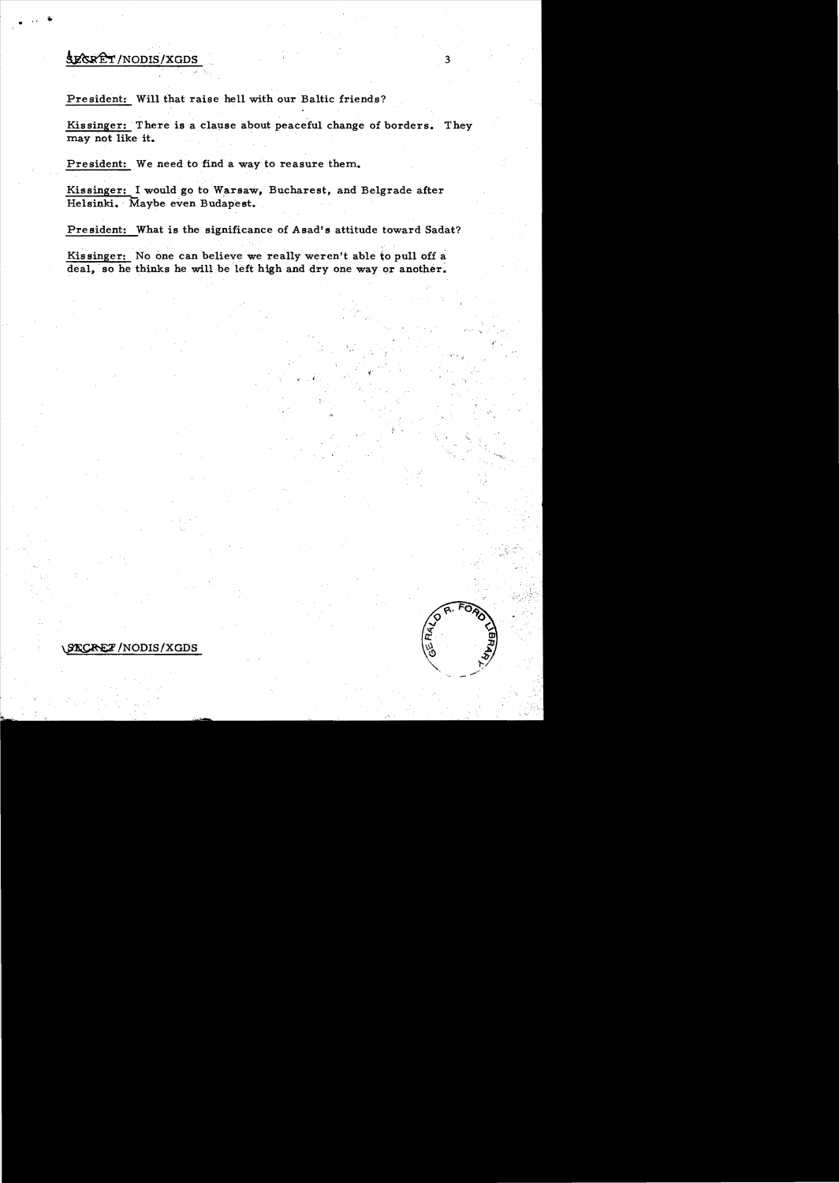## SECRET/NODIS/XGDS

President: Will that raise hell with our Baltic friends?

Kissinger: There is a clause about peaceful change of borders. They may not like it.

President: We need to find a way to reasure them.

Kissinger: I would go to Warsaw, Bucharest, and Belgrade after Helsinki. Maybe even Budapest.

President: What is the significance of Asad's attitude toward Sadat?

Kissinger: No one can believe we really weren't able to pull off a deal, so he thinks he will be left high and dry one way or another.



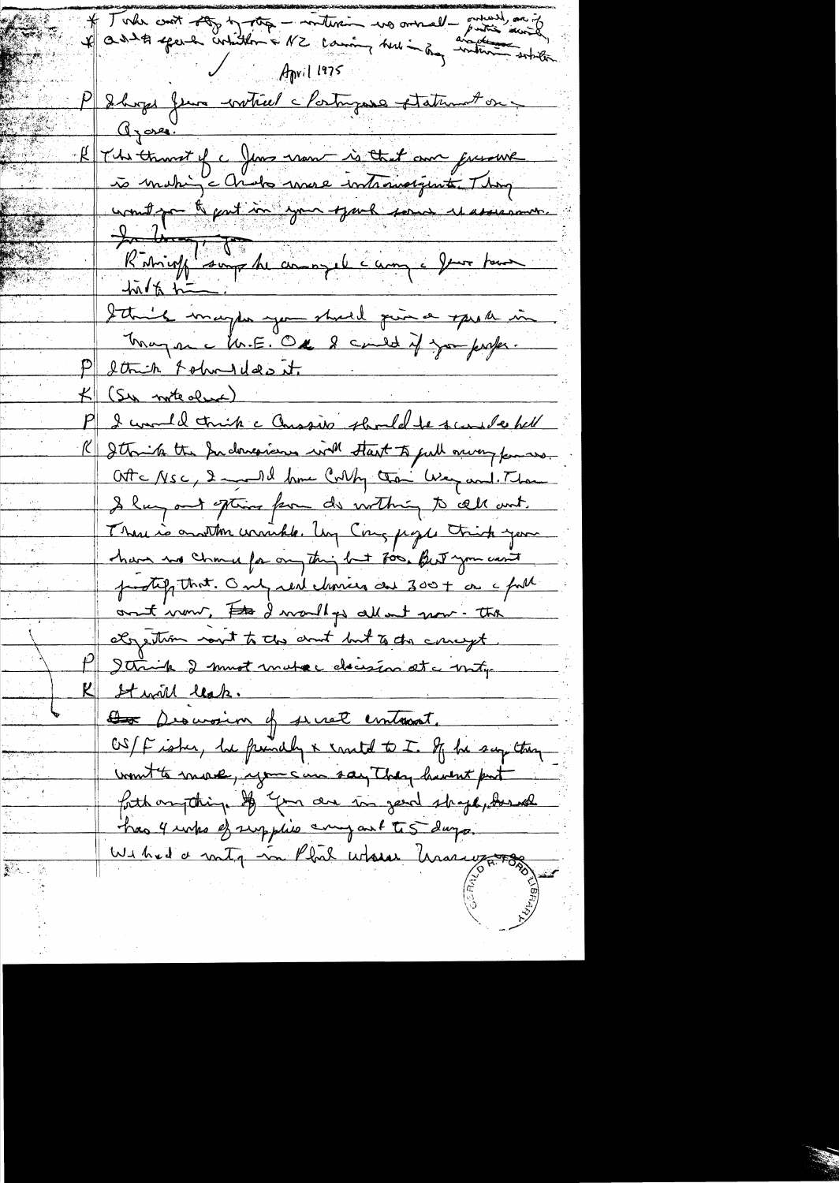\* Toda croit 200 h 1000 - millisim was ownall - primer and Iboge fun wotiel claimyons statement on Gyore. The thans of a June nom is that am greene to making chidre more intromorgant Thing unit part for your sport some et assessment. Riming supplement l'ampel four pour I think may be you should give a speak in Inagen c M.E. Ox 8 cando if you perfer. Strich Folm Idas it. (Su note due) I would trink a Conssib should be surede hell R Itorite the Indonesians with Hast to full nurry for us. Otte Nsc, 2 and 1 km Colly than Way and Than I hay out often for do within to all out. There is another windele. Ung Cong page trick your chave no chance for any thing but 800. But you can't protif that. Only real chances are 300 + as a full ont now, the I would go all not now - the objection nont to the court but to the concept. Strink 2 most mater decesion at a moty K Stwill lesk. Descroim of secret emtrent. OS/F isher, he princily & santal to I. If he say they unt to more, you can say they haven't put forth anything of your die in gend shape, donal has 4 unks of supplies any out to 5 days. Withed a routy in Phil whose having to